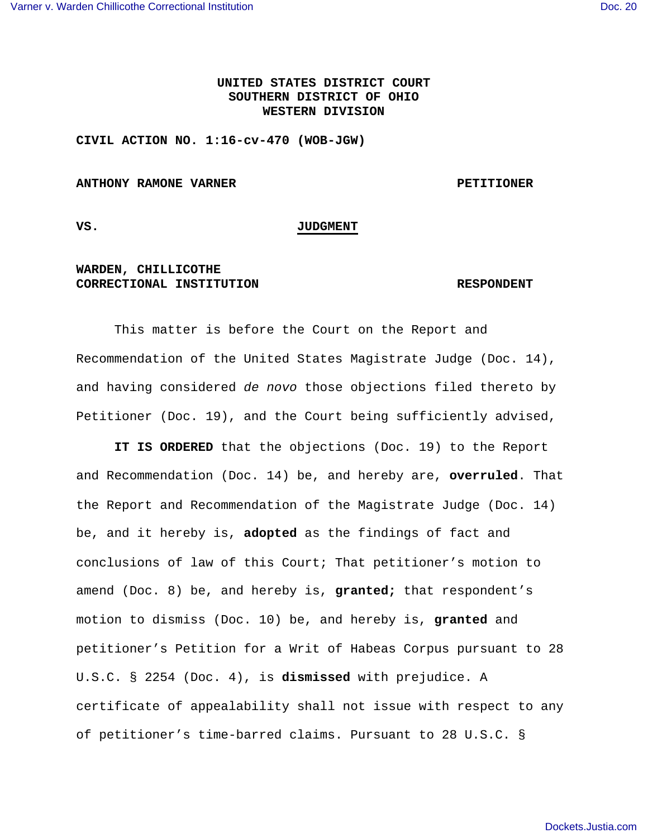# **UNITED STATES DISTRICT COURT SOUTHERN DISTRICT OF OHIO WESTERN DIVISION**

**CIVIL ACTION NO. 1:16-cv-470 (WOB-JGW)** 

#### **ANTHONY RAMONE VARNER PETITIONER**

### **VS. JUDGMENT**

## **WARDEN, CHILLICOTHE CORRECTIONAL INSTITUTION RESPONDENT**

 This matter is before the Court on the Report and Recommendation of the United States Magistrate Judge (Doc. 14), and having considered de novo those objections filed thereto by Petitioner (Doc. 19), and the Court being sufficiently advised,

**IT IS ORDERED** that the objections (Doc. 19) to the Report and Recommendation (Doc. 14) be, and hereby are, **overruled**. That the Report and Recommendation of the Magistrate Judge (Doc. 14) be, and it hereby is, **adopted** as the findings of fact and conclusions of law of this Court; That petitioner's motion to amend (Doc. 8) be, and hereby is, **granted;** that respondent's motion to dismiss (Doc. 10) be, and hereby is, **granted** and petitioner's Petition for a Writ of Habeas Corpus pursuant to 28 U.S.C. § 2254 (Doc. 4), is **dismissed** with prejudice. A certificate of appealability shall not issue with respect to any of petitioner's time-barred claims. Pursuant to 28 U.S.C. §